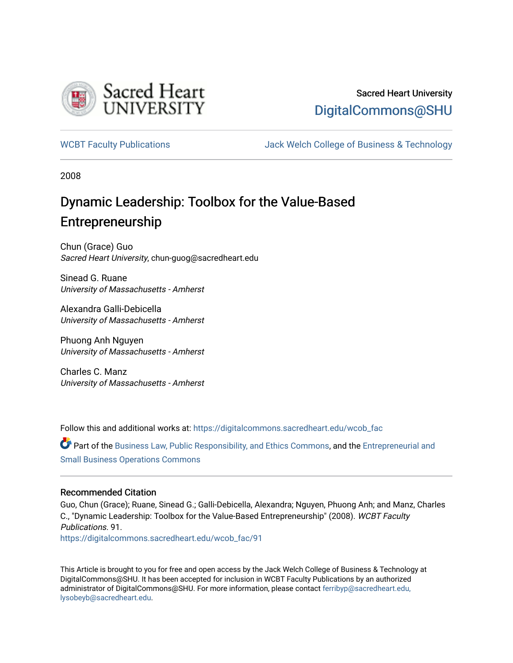

### Sacred Heart University [DigitalCommons@SHU](https://digitalcommons.sacredheart.edu/)

[WCBT Faculty Publications](https://digitalcommons.sacredheart.edu/wcob_fac) [Jack Welch College of Business & Technology](https://digitalcommons.sacredheart.edu/wcob) 

2008

## Dynamic Leadership: Toolbox for the Value-Based Entrepreneurship

Chun (Grace) Guo Sacred Heart University, chun-guog@sacredheart.edu

Sinead G. Ruane University of Massachusetts - Amherst

Alexandra Galli-Debicella University of Massachusetts - Amherst

Phuong Anh Nguyen University of Massachusetts - Amherst

Charles C. Manz University of Massachusetts - Amherst

Follow this and additional works at: [https://digitalcommons.sacredheart.edu/wcob\\_fac](https://digitalcommons.sacredheart.edu/wcob_fac?utm_source=digitalcommons.sacredheart.edu%2Fwcob_fac%2F91&utm_medium=PDF&utm_campaign=PDFCoverPages)

Part of the [Business Law, Public Responsibility, and Ethics Commons](http://network.bepress.com/hgg/discipline/628?utm_source=digitalcommons.sacredheart.edu%2Fwcob_fac%2F91&utm_medium=PDF&utm_campaign=PDFCoverPages), and the [Entrepreneurial and](http://network.bepress.com/hgg/discipline/630?utm_source=digitalcommons.sacredheart.edu%2Fwcob_fac%2F91&utm_medium=PDF&utm_campaign=PDFCoverPages) [Small Business Operations Commons](http://network.bepress.com/hgg/discipline/630?utm_source=digitalcommons.sacredheart.edu%2Fwcob_fac%2F91&utm_medium=PDF&utm_campaign=PDFCoverPages)

#### Recommended Citation

Guo, Chun (Grace); Ruane, Sinead G.; Galli-Debicella, Alexandra; Nguyen, Phuong Anh; and Manz, Charles C., "Dynamic Leadership: Toolbox for the Value-Based Entrepreneurship" (2008). WCBT Faculty Publications. 91. [https://digitalcommons.sacredheart.edu/wcob\\_fac/91](https://digitalcommons.sacredheart.edu/wcob_fac/91?utm_source=digitalcommons.sacredheart.edu%2Fwcob_fac%2F91&utm_medium=PDF&utm_campaign=PDFCoverPages) 

This Article is brought to you for free and open access by the Jack Welch College of Business & Technology at DigitalCommons@SHU. It has been accepted for inclusion in WCBT Faculty Publications by an authorized administrator of DigitalCommons@SHU. For more information, please contact [ferribyp@sacredheart.edu,](mailto:ferribyp@sacredheart.edu,%20lysobeyb@sacredheart.edu) [lysobeyb@sacredheart.edu](mailto:ferribyp@sacredheart.edu,%20lysobeyb@sacredheart.edu).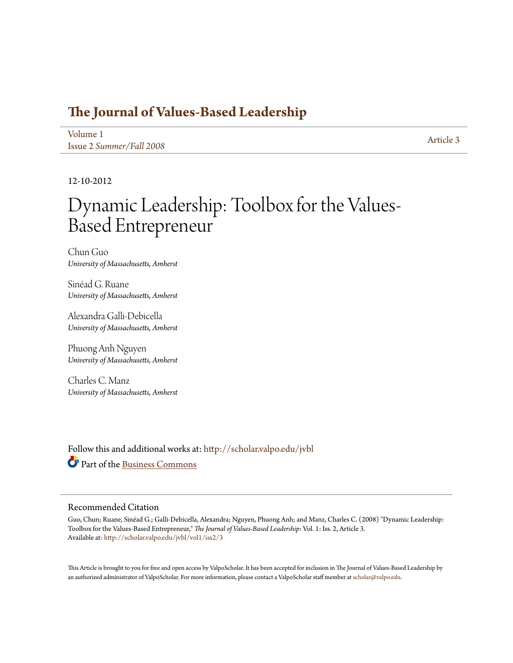### **[The Journal of Values-Based Leadership](http://scholar.valpo.edu/jvbl?utm_source=scholar.valpo.edu%2Fjvbl%2Fvol1%2Fiss2%2F3&utm_medium=PDF&utm_campaign=PDFCoverPages)**

[Volume 1](http://scholar.valpo.edu/jvbl/vol1?utm_source=scholar.valpo.edu%2Fjvbl%2Fvol1%2Fiss2%2F3&utm_medium=PDF&utm_campaign=PDFCoverPages) Issue 2 *[Summer/Fall 2008](http://scholar.valpo.edu/jvbl/vol1/iss2?utm_source=scholar.valpo.edu%2Fjvbl%2Fvol1%2Fiss2%2F3&utm_medium=PDF&utm_campaign=PDFCoverPages)* [Article 3](http://scholar.valpo.edu/jvbl/vol1/iss2/3?utm_source=scholar.valpo.edu%2Fjvbl%2Fvol1%2Fiss2%2F3&utm_medium=PDF&utm_campaign=PDFCoverPages)

12-10-2012

# Dynamic Leadership: Toolbox for the Values-Based Entrepreneur

Chun Guo *University of Massachusetts, Amherst*

Sinéad G. Ruane *University of Massachusetts, Amherst*

Alexandra Galli-Debicella *University of Massachusetts, Amherst*

Phuong Anh Nguyen *University of Massachusetts, Amherst*

Charles C. Manz *University of Massachusetts, Amherst*

Follow this and additional works at: [http://scholar.valpo.edu/jvbl](http://scholar.valpo.edu/jvbl?utm_source=scholar.valpo.edu%2Fjvbl%2Fvol1%2Fiss2%2F3&utm_medium=PDF&utm_campaign=PDFCoverPages) Part of the [Business Commons](http://network.bepress.com/hgg/discipline/622?utm_source=scholar.valpo.edu%2Fjvbl%2Fvol1%2Fiss2%2F3&utm_medium=PDF&utm_campaign=PDFCoverPages)

#### Recommended Citation

Guo, Chun; Ruane, Sinéad G.; Galli-Debicella, Alexandra; Nguyen, Phuong Anh; and Manz, Charles C. (2008) "Dynamic Leadership: Toolbox for the Values-Based Entrepreneur," *The Journal of Values-Based Leadership*: Vol. 1: Iss. 2, Article 3. Available at: [http://scholar.valpo.edu/jvbl/vol1/iss2/3](http://scholar.valpo.edu/jvbl/vol1/iss2/3?utm_source=scholar.valpo.edu%2Fjvbl%2Fvol1%2Fiss2%2F3&utm_medium=PDF&utm_campaign=PDFCoverPages)

This Article is brought to you for free and open access by ValpoScholar. It has been accepted for inclusion in The Journal of Values-Based Leadership by an authorized administrator of ValpoScholar. For more information, please contact a ValpoScholar staff member at [scholar@valpo.edu](mailto:scholar@valpo.edu).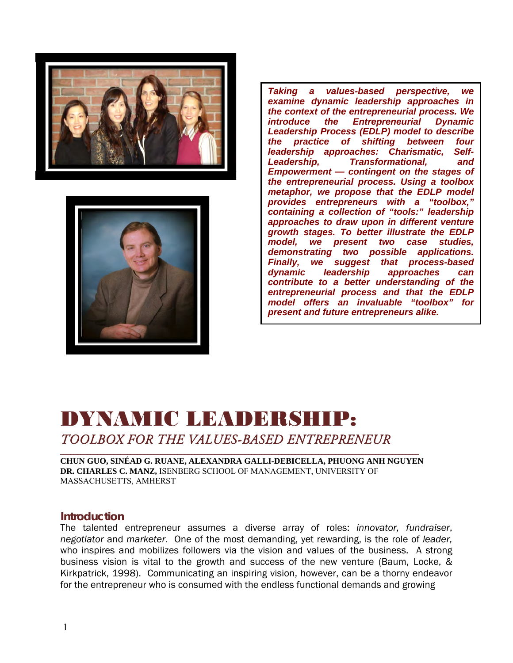



*Taking a values-based perspective, we examine dynamic leadership approaches in the context of the entrepreneurial process. We introduce the Entrepreneurial Dynamic Leadership Process (EDLP) model to describe the practice of shifting between four leadership approaches: Charismatic, Self-Leadership, Transformational, and Empowerment — contingent on the stages of the entrepreneurial process. Using a toolbox metaphor, we propose that the EDLP model provides entrepreneurs with a "toolbox," containing a collection of "tools:" leadership approaches to draw upon in different venture growth stages. To better illustrate the EDLP model, we present two case studies, demonstrating two possible applications. Finally, we suggest that process-based dynamic leadership approaches can contribute to a better understanding of the entrepreneurial process and that the EDLP model offers an invaluable "toolbox" for present and future entrepreneurs alike.*

### DYNAMIC LEADERSHIP: *TOOLBOX FOR THE VALUES-BASED ENTREPRENEUR* \_\_\_\_\_\_\_\_\_\_\_\_\_\_\_\_\_\_\_\_\_\_\_\_\_\_\_\_\_\_\_\_\_\_\_\_\_\_\_\_\_\_\_\_\_\_\_\_\_\_\_\_\_\_\_\_\_\_\_\_\_\_\_\_\_\_\_\_\_\_\_\_\_\_\_\_\_\_\_\_\_\_\_\_\_\_\_\_\_\_\_\_\_\_\_\_\_\_\_\_\_\_\_\_\_\_\_

**CHUN GUO, SINÉAD G. RUANE, ALEXANDRA GALLI-DEBICELLA, PHUONG ANH NGUYEN DR. CHARLES C. MANZ,** ISENBERG SCHOOL OF MANAGEMENT, UNIVERSITY OF MASSACHUSETTS, AMHERST

#### **Introduction**

The talented entrepreneur assumes a diverse array of roles: *innovator, fundraiser*, *negotiator* and *marketer*. One of the most demanding, yet rewarding, is the role of *leader,*  who inspires and mobilizes followers via the vision and values of the business. A strong business vision is vital to the growth and success of the new venture (Baum, Locke, & Kirkpatrick, 1998). Communicating an inspiring vision, however, can be a thorny endeavor for the entrepreneur who is consumed with the endless functional demands and growing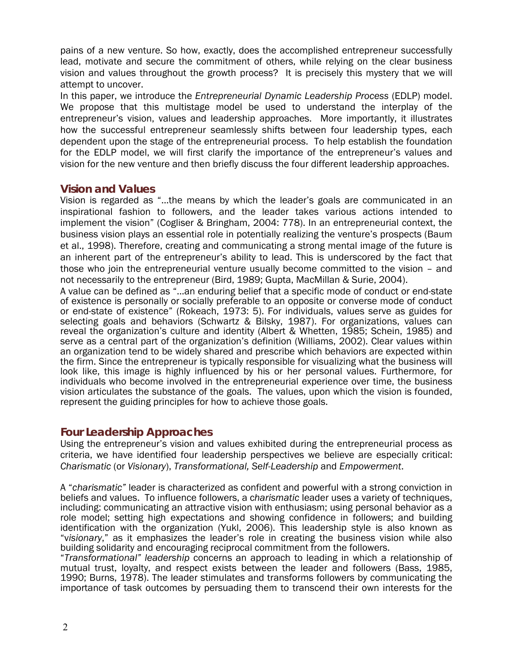pains of a new venture. So how, exactly, does the accomplished entrepreneur successfully lead, motivate and secure the commitment of others, while relying on the clear business vision and values throughout the growth process? It is precisely this mystery that we will attempt to uncover.

In this paper, we introduce the *Entrepreneurial Dynamic Leadership Process* (EDLP) model. We propose that this multistage model be used to understand the interplay of the entrepreneur's vision, values and leadership approaches. More importantly, it illustrates how the successful entrepreneur seamlessly shifts between four leadership types, each dependent upon the stage of the entrepreneurial process. To help establish the foundation for the EDLP model, we will first clarify the importance of the entrepreneur's values and vision for the new venture and then briefly discuss the four different leadership approaches.

#### **Vision and Values**

Vision is regarded as "…the means by which the leader's goals are communicated in an inspirational fashion to followers, and the leader takes various actions intended to implement the vision" (Cogliser & Bringham, 2004: 778). In an entrepreneurial context, the business vision plays an essential role in potentially realizing the venture's prospects (Baum et al., 1998). Therefore, creating and communicating a strong mental image of the future is an inherent part of the entrepreneur's ability to lead. This is underscored by the fact that those who join the entrepreneurial venture usually become committed to the vision – and not necessarily to the entrepreneur (Bird, 1989; Gupta, MacMillan & Surie, 2004).

A value can be defined as "…an enduring belief that a specific mode of conduct or end-state of existence is personally or socially preferable to an opposite or converse mode of conduct or end-state of existence" (Rokeach, 1973: 5). For individuals, values serve as guides for selecting goals and behaviors (Schwartz & Bilsky, 1987). For organizations, values can reveal the organization's culture and identity (Albert & Whetten, 1985; Schein, 1985) and serve as a central part of the organization's definition (Williams, 2002). Clear values within an organization tend to be widely shared and prescribe which behaviors are expected within the firm. Since the entrepreneur is typically responsible for visualizing what the business will look like, this image is highly influenced by his or her personal values. Furthermore, for individuals who become involved in the entrepreneurial experience over time, the business vision articulates the substance of the goals. The values, upon which the vision is founded, represent the guiding principles for how to achieve those goals.

#### **Four Leadership Approaches**

Using the entrepreneur's vision and values exhibited during the entrepreneurial process as criteria, we have identified four leadership perspectives we believe are especially critical: *Charismatic* (or *Visionary*), *Transformational, Self-Leadership* and *Empowerment*.

A "*charismatic"* leader is characterized as confident and powerful with a strong conviction in beliefs and values. To influence followers, a c*harismatic* leader uses a variety of techniques, including: communicating an attractive vision with enthusiasm; using personal behavior as a role model; setting high expectations and showing confidence in followers; and building identification with the organization (Yukl, 2006). This leadership style is also known as "v*isionary*," as it emphasizes the leader's role in creating the business vision while also building solidarity and encouraging reciprocal commitment from the followers.

"*Transformational" leadership* concerns an approach to leading in which a relationship of mutual trust, loyalty, and respect exists between the leader and followers (Bass, 1985, 1990; Burns, 1978). The leader stimulates and transforms followers by communicating the importance of task outcomes by persuading them to transcend their own interests for the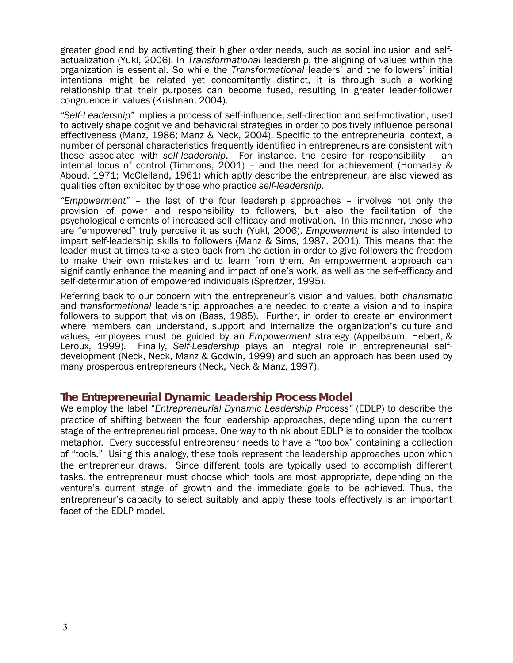greater good and by activating their higher order needs, such as social inclusion and selfactualization (Yukl, 2006). In *Transformational* leadership, the aligning of values within the organization is essential. So while the *Transformational* leaders' and the followers' initial intentions might be related yet concomitantly distinct, it is through such a working relationship that their purposes can become fused, resulting in greater leader-follower congruence in values (Krishnan, 2004).

*"Self-Leadership"* implies a process of self-influence, self-direction and self-motivation, used to actively shape cognitive and behavioral strategies in order to positively influence personal effectiveness (Manz, 1986; Manz & Neck, 2004). Specific to the entrepreneurial context, a number of personal characteristics frequently identified in entrepreneurs are consistent with those associated with *self-leadership*. For instance, the desire for responsibility – an internal locus of control (Timmons, 2001) – and the need for achievement (Hornaday & Aboud, 1971; McClelland, 1961) which aptly describe the entrepreneur, are also viewed as qualities often exhibited by those who practice *self-leadership*.

*"Empowerment"* – the last of the four leadership approaches – involves not only the provision of power and responsibility to followers, but also the facilitation of the psychological elements of increased self-efficacy and motivation. In this manner, those who are "empowered" truly perceive it as such (Yukl, 2006). *Empowerment* is also intended to impart self-leadership skills to followers (Manz & Sims, 1987, 2001). This means that the leader must at times take a step back from the action in order to give followers the freedom to make their own mistakes and to learn from them. An empowerment approach can significantly enhance the meaning and impact of one's work, as well as the self-efficacy and self-determination of empowered individuals (Spreitzer, 1995).

Referring back to our concern with the entrepreneur's vision and values, both *charismatic* and *transformational* leadership approaches are needed to create a vision and to inspire followers to support that vision (Bass, 1985). Further, in order to create an environment where members can understand, support and internalize the organization's culture and values, employees must be guided by an *Empowerment* strategy ([Appelbaum,](http://proquest.umi.com/pqdweb?index=0&did=115927329&CSP=7894&SrchMode=1&sid=1&Fmt=3&VInst=PROD&VType=PQD&RQT=590&VName=PQD&TS=1148151176&clientId=2724) [Hebert](javascript:void(0);), & [Leroux,](javascript:void(0);) 1999). Finally, *Self-Leadership* plays an integral role in entrepreneurial selfdevelopment (Neck, Neck, Manz & Godwin, 1999) and such an approach has been used by many prosperous entrepreneurs (Neck, Neck & Manz, 1997).

#### **The Entrepreneurial Dynamic Leadership Process Model**

We employ the label "*Entrepreneurial Dynamic Leadership Process"* (EDLP) to describe the practice of shifting between the four leadership approaches, depending upon the current stage of the entrepreneurial process. One way to think about EDLP is to consider the toolbox metaphor. Every successful entrepreneur needs to have a "toolbox" containing a collection of "tools." Using this analogy, these tools represent the leadership approaches upon which the entrepreneur draws. Since different tools are typically used to accomplish different tasks, the entrepreneur must choose which tools are most appropriate, depending on the venture's current stage of growth and the immediate goals to be achieved. Thus, the entrepreneur's capacity to select suitably and apply these tools effectively is an important facet of the EDLP model.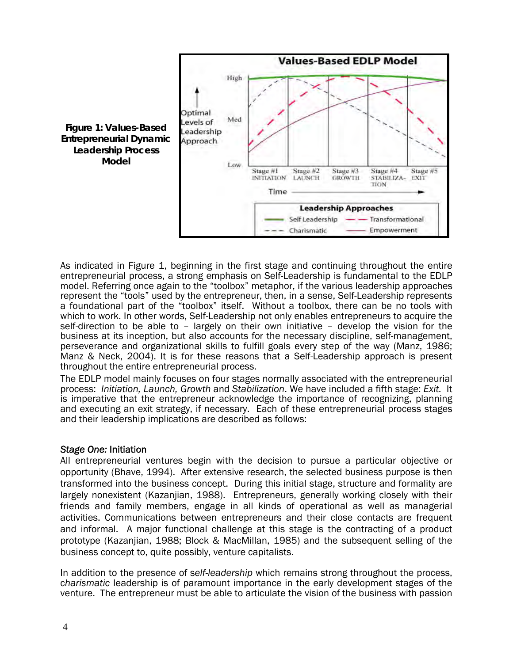

As indicated in Figure 1, beginning in the first stage and continuing throughout the entire entrepreneurial process, a strong emphasis on Self-Leadership is fundamental to the EDLP model. Referring once again to the "toolbox" metaphor, if the various leadership approaches represent the "tools" used by the entrepreneur, then, in a sense, Self-Leadership represents a foundational part of the "toolbox" itself. Without a toolbox, there can be no tools with which to work. In other words, Self-Leadership not only enables entrepreneurs to acquire the self-direction to be able to – largely on their own initiative – develop the vision for the business at its inception, but also accounts for the necessary discipline, self-management, perseverance and organizational skills to fulfill goals every step of the way (Manz, 1986; Manz & Neck, 2004). It is for these reasons that a Self-Leadership approach is present throughout the entire entrepreneurial process.

The EDLP model mainly focuses on four stages normally associated with the entrepreneurial process: *Initiation, Launch, Growth* and *Stabilization*. We have included a fifth stage: *Exit.* It is imperative that the entrepreneur acknowledge the importance of recognizing, planning and executing an exit strategy, if necessary. Each of these entrepreneurial process stages and their leadership implications are described as follows:

#### *Stage One:* Initiation

All entrepreneurial ventures begin with the decision to pursue a particular objective or opportunity (Bhave, 1994). After extensive research, the selected business purpose is then transformed into the business concept. During this initial stage, structure and formality are largely nonexistent (Kazanjian, 1988). Entrepreneurs, generally working closely with their friends and family members, engage in all kinds of operational as well as managerial activities. Communications between entrepreneurs and their close contacts are frequent and informal. A major functional challenge at this stage is the contracting of a product prototype (Kazanjian, 1988; Block & MacMillan, 1985) and the subsequent selling of the business concept to, quite possibly, venture capitalists.

In addition to the presence of s*elf-leadership* which remains strong throughout the process, c*harismatic* leadership is of paramount importance in the early development stages of the venture. The entrepreneur must be able to articulate the vision of the business with passion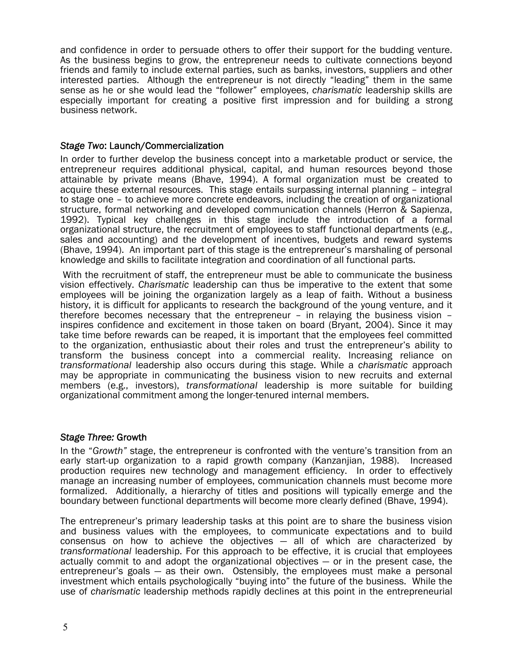and confidence in order to persuade others to offer their support for the budding venture. As the business begins to grow, the entrepreneur needs to cultivate connections beyond friends and family to include external parties, such as banks, investors, suppliers and other interested parties. Although the entrepreneur is not directly "leading" them in the same sense as he or she would lead the "follower" employees, *charismatic* leadership skills are especially important for creating a positive first impression and for building a strong business network.

#### *Stage Two*: Launch/Commercialization

In order to further develop the business concept into a marketable product or service, the entrepreneur requires additional physical, capital, and human resources beyond those attainable by private means (Bhave, 1994). A formal organization must be created to acquire these external resources. This stage entails surpassing internal planning – integral to stage one – to achieve more concrete endeavors, including the creation of organizational structure, formal networking and developed communication channels (Herron & Sapienza, 1992). Typical key challenges in this stage include the introduction of a formal organizational structure, the recruitment of employees to staff functional departments (e.g., sales and accounting) and the development of incentives, budgets and reward systems (Bhave, 1994). An important part of this stage is the entrepreneur's marshaling of personal knowledge and skills to facilitate integration and coordination of all functional parts.

 With the recruitment of staff, the entrepreneur must be able to communicate the business vision effectively. *Charismatic* leadership can thus be imperative to the extent that some employees will be joining the organization largely as a leap of faith. Without a business history, it is difficult for applicants to research the background of the young venture, and it therefore becomes necessary that the entrepreneur – in relaying the business vision – inspires confidence and excitement in those taken on board (Bryant, 2004). Since it may take time before rewards can be reaped, it is important that the employees feel committed to the organization, enthusiastic about their roles and trust the entrepreneur's ability to transform the business concept into a commercial reality. Increasing reliance on *transformational* leadership also occurs during this stage. While a *charismatic* approach may be appropriate in communicating the business vision to new recruits and external members (e.g., investors), *transformational* leadership is more suitable for building organizational commitment among the longer-tenured internal members.

#### *Stage Three:* Growth

In the "*Growth"* stage, the entrepreneur is confronted with the venture's transition from an early start-up organization to a rapid growth company (Kanzanjian, 1988). Increased production requires new technology and management efficiency. In order to effectively manage an increasing number of employees, communication channels must become more formalized. Additionally, a hierarchy of titles and positions will typically emerge and the boundary between functional departments will become more clearly defined (Bhave, 1994).

The entrepreneur's primary leadership tasks at this point are to share the business vision and business values with the employees, to communicate expectations and to build consensus on how to achieve the objectives — all of which are characterized by *transformational* leadership. For this approach to be effective, it is crucial that employees actually commit to and adopt the organizational objectives — or in the present case, the entrepreneur's goals — as their own. Ostensibly, the employees must make a personal investment which entails psychologically "buying into" the future of the business. While the use of *charismatic* leadership methods rapidly declines at this point in the entrepreneurial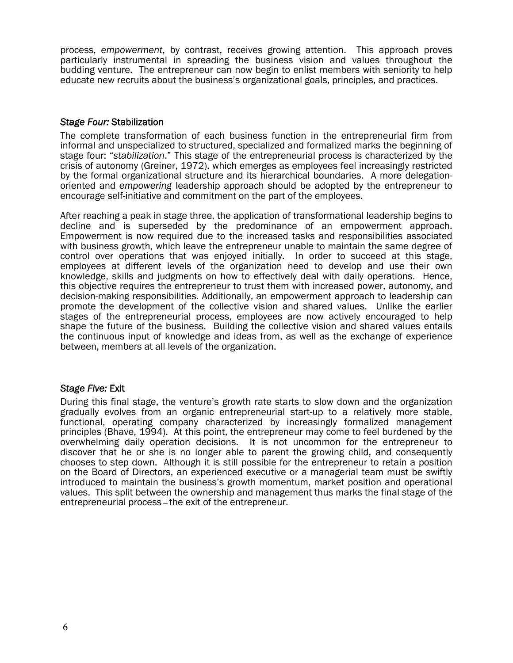process, *empowerment*, by contrast, receives growing attention. This approach proves particularly instrumental in spreading the business vision and values throughout the budding venture. The entrepreneur can now begin to enlist members with seniority to help educate new recruits about the business's organizational goals, principles, and practices.

#### *Stage Four:* Stabilization

The complete transformation of each business function in the entrepreneurial firm from informal and unspecialized to structured, specialized and formalized marks the beginning of stage four: "*stabilization*." This stage of the entrepreneurial process is characterized by the crisis of autonomy (Greiner, 1972), which emerges as employees feel increasingly restricted by the formal organizational structure and its hierarchical boundaries. A more delegationoriented and *empowering* leadership approach should be adopted by the entrepreneur to encourage self-initiative and commitment on the part of the employees.

After reaching a peak in stage three, the application of transformational leadership begins to decline and is superseded by the predominance of an empowerment approach. Empowerment is now required due to the increased tasks and responsibilities associated with business growth, which leave the entrepreneur unable to maintain the same degree of control over operations that was enjoyed initially. In order to succeed at this stage, employees at different levels of the organization need to develop and use their own knowledge, skills and judgments on how to effectively deal with daily operations. Hence, this objective requires the entrepreneur to trust them with increased power, autonomy, and decision-making responsibilities. Additionally, an empowerment approach to leadership can promote the development of the collective vision and shared values. Unlike the earlier stages of the entrepreneurial process, employees are now actively encouraged to help shape the future of the business. Building the collective vision and shared values entails the continuous input of knowledge and ideas from, as well as the exchange of experience between, members at all levels of the organization.

#### *Stage Five:* Exit

During this final stage, the venture's growth rate starts to slow down and the organization gradually evolves from an organic entrepreneurial start-up to a relatively more stable, functional, operating company characterized by increasingly formalized management principles (Bhave, 1994). At this point, the entrepreneur may come to feel burdened by the overwhelming daily operation decisions. It is not uncommon for the entrepreneur to discover that he or she is no longer able to parent the growing child, and consequently chooses to step down. Although it is still possible for the entrepreneur to retain a position on the Board of Directors, an experienced executive or a managerial team must be swiftly introduced to maintain the business's growth momentum, market position and operational values. This split between the ownership and management thus marks the final stage of the entrepreneurial process — the exit of the entrepreneur.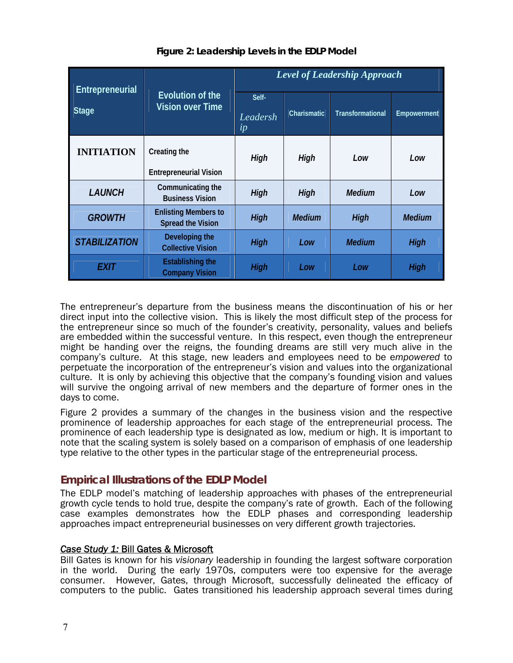| Entrepreneurial      | Evolution of the<br><b>Vision over Time</b>             | <b>Level of Leadership Approach</b> |                    |                         |               |
|----------------------|---------------------------------------------------------|-------------------------------------|--------------------|-------------------------|---------------|
| Stage                |                                                         | Self-<br>Leadersh<br>ip             | <b>Charismatic</b> | <b>Transformational</b> | Empowerment   |
| <b>INITIATION</b>    | Creating the<br><b>Entrepreneurial Vision</b>           | High                                | High               | Low                     | Low           |
| <b>LAUNCH</b>        | Communicating the<br><b>Business Vision</b>             | High                                | High               | <b>Medium</b>           | Low           |
| <b>GROWTH</b>        | <b>Enlisting Members to</b><br><b>Spread the Vision</b> | High                                | <b>Medium</b>      | High                    | <b>Medium</b> |
| <b>STABILIZATION</b> | Developing the<br><b>Collective Vision</b>              | High                                | Low                | <b>Medium</b>           | High          |
| <b>EXIT</b>          | <b>Establishing the</b><br><b>Company Vision</b>        | High                                | Low                | Low                     | High          |

#### **Figure 2: Leadership Levels in the EDLP Model**

The entrepreneur's departure from the business means the discontinuation of his or her direct input into the collective vision. This is likely the most difficult step of the process for the entrepreneur since so much of the founder's creativity, personality, values and beliefs are embedded within the successful venture. In this respect, even though the entrepreneur might be handing over the reigns, the founding dreams are still very much alive in the company's culture. At this stage, new leaders and employees need to be e*mpowered* to perpetuate the incorporation of the entrepreneur's vision and values into the organizational culture. It is only by achieving this objective that the company's founding vision and values will survive the ongoing arrival of new members and the departure of former ones in the days to come.

Figure 2 provides a summary of the changes in the business vision and the respective prominence of leadership approaches for each stage of the entrepreneurial process. The prominence of each leadership type is designated as low, medium or high. It is important to note that the scaling system is solely based on a comparison of emphasis of one leadership type relative to the other types in the particular stage of the entrepreneurial process.

### **Empirical Illustrations of the EDLP Model**

The EDLP model's matching of leadership approaches with phases of the entrepreneurial growth cycle tends to hold true, despite the company's rate of growth. Each of the following case examples demonstrates how the EDLP phases and corresponding leadership approaches impact entrepreneurial businesses on very different growth trajectories.

#### *Case Study 1:* Bill Gates & Microsoft

Bill Gates is known for his *visionary* leadership in founding the largest software corporation in the world. During the early 1970s, computers were too expensive for the average consumer. However, Gates, through Microsoft, successfully delineated the efficacy of computers to the public. Gates transitioned his leadership approach several times during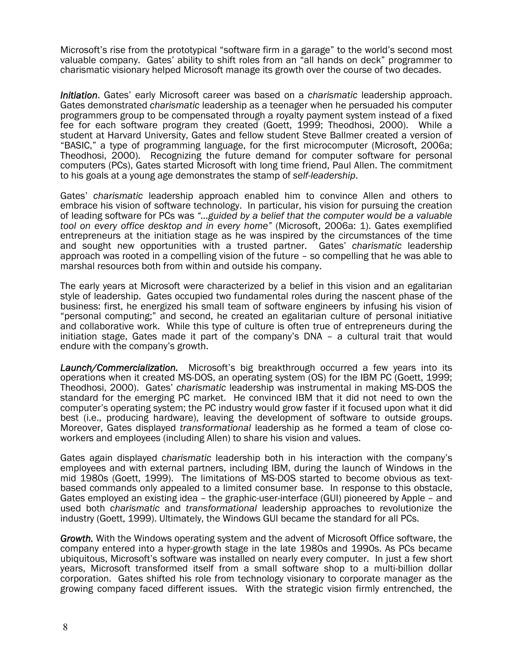Microsoft's rise from the prototypical "software firm in a garage" to the world's second most valuable company. Gates' ability to shift roles from an "all hands on deck" programmer to charismatic visionary helped Microsoft manage its growth over the course of two decades.

*Initiation*. Gates' early Microsoft career was based on a *charismatic* leadership approach. Gates demonstrated *charismatic* leadership as a teenager when he persuaded his computer programmers group to be compensated through a royalty payment system instead of a fixed fee for each software program they created (Goett, 1999; Theodhosi, 2000). While a student at Harvard University, Gates and fellow student Steve Ballmer created a version of "BASIC," a type of programming language, for the first microcomputer (Microsoft, 2006a; Theodhosi, 2000). Recognizing the future demand for computer software for personal computers (PCs), Gates started Microsoft with long time friend, Paul Allen. The commitment to his goals at a young age demonstrates the stamp of *self-leadership*.

Gates' *charismatic* leadership approach enabled him to convince Allen and others to embrace his vision of software technology. In particular, his vision for pursuing the creation of leading software for PCs was *"…guided by a belief that the computer would be a valuable tool on every office desktop and in every home"* (Microsoft, 2006a: 1). Gates exemplified entrepreneurs at the initiation stage as he was inspired by the circumstances of the time and sought new opportunities with a trusted partner. Gates' *charismatic* leadership approach was rooted in a compelling vision of the future – so compelling that he was able to marshal resources both from within and outside his company.

The early years at Microsoft were characterized by a belief in this vision and an egalitarian style of leadership. Gates occupied two fundamental roles during the nascent phase of the business: first, he energized his small team of software engineers by infusing his vision of "personal computing;" and second, he created an egalitarian culture of personal initiative and collaborative work. While this type of culture is often true of entrepreneurs during the initiation stage, Gates made it part of the company's DNA – a cultural trait that would endure with the company's growth.

*Launch/Commercialization.* Microsoft's big breakthrough occurred a few years into its operations when it created MS-DOS, an operating system (OS) for the IBM PC (Goett, 1999; Theodhosi, 2000). Gates' *charismatic* leadership was instrumental in making MS-DOS the standard for the emerging PC market. He convinced IBM that it did not need to own the computer's operating system; the PC industry would grow faster if it focused upon what it did best (i.e., producing hardware), leaving the development of software to outside groups. Moreover, Gates displayed *transformational* leadership as he formed a team of close coworkers and employees (including Allen) to share his vision and values.

Gates again displayed c*harismatic* leadership both in his interaction with the company's employees and with external partners, including IBM, during the launch of Windows in the mid 1980s (Goett, 1999). The limitations of MS-DOS started to become obvious as textbased commands only appealed to a limited consumer base. In response to this obstacle, Gates employed an existing idea – the graphic-user-interface (GUI) pioneered by Apple – and used both c*harismatic* and *transformational* leadership approaches to revolutionize the industry (Goett, 1999). Ultimately, the Windows GUI became the standard for all PCs.

*Growth.* With the Windows operating system and the advent of Microsoft Office software, the company entered into a hyper-growth stage in the late 1980s and 1990s. As PCs became ubiquitous, Microsoft's software was installed on nearly every computer. In just a few short years, Microsoft transformed itself from a small software shop to a multi-billion dollar corporation. Gates shifted his role from technology visionary to corporate manager as the growing company faced different issues. With the strategic vision firmly entrenched, the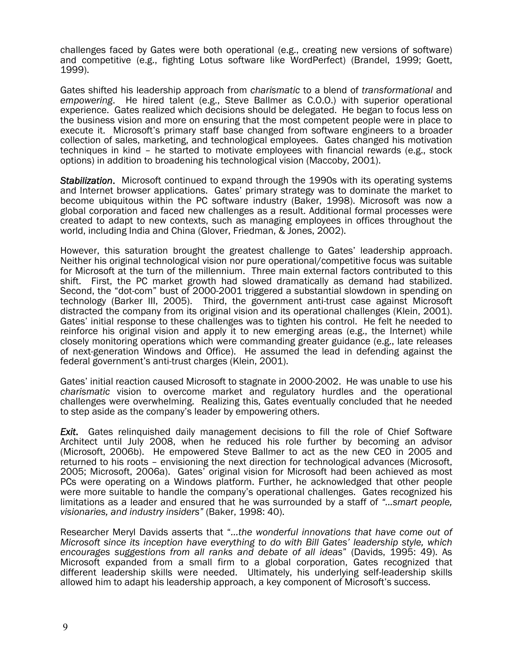challenges faced by Gates were both operational (e.g., creating new versions of software) and competitive (e.g., fighting Lotus software like WordPerfect) (Brandel, 1999; Goett, 1999).

Gates shifted his leadership approach from *charismatic* to a blend of *transformational* and *empowering*. He hired talent (e.g., Steve Ballmer as C.O.O.) with superior operational experience. Gates realized which decisions should be delegated. He began to focus less on the business vision and more on ensuring that the most competent people were in place to execute it. Microsoft's primary staff base changed from software engineers to a broader collection of sales, marketing, and technological employees. Gates changed his motivation techniques in kind – he started to motivate employees with financial rewards (e.g., stock options) in addition to broadening his technological vision (Maccoby, 2001).

*Stabilization*. Microsoft continued to expand through the 1990s with its operating systems and Internet browser applications. Gates' primary strategy was to dominate the market to become ubiquitous within the PC software industry (Baker, 1998). Microsoft was now a global corporation and faced new challenges as a result. Additional formal processes were created to adapt to new contexts, such as managing employees in offices throughout the world, including India and China (Glover, Friedman, & Jones, 2002).

However, this saturation brought the greatest challenge to Gates' leadership approach. Neither his original technological vision nor pure operational/competitive focus was suitable for Microsoft at the turn of the millennium. Three main external factors contributed to this shift. First, the PC market growth had slowed dramatically as demand had stabilized. Second, the "dot-com" bust of 2000-2001 triggered a substantial slowdown in spending on technology (Barker III, 2005). Third, the government anti-trust case against Microsoft distracted the company from its original vision and its operational challenges (Klein, 2001). Gates' initial response to these challenges was to tighten his control. He felt he needed to reinforce his original vision and apply it to new emerging areas (e.g., the Internet) while closely monitoring operations which were commanding greater guidance (e.g., late releases of next-generation Windows and Office). He assumed the lead in defending against the federal government's anti-trust charges (Klein, 2001).

Gates' initial reaction caused Microsoft to stagnate in 2000-2002. He was unable to use his *charismatic* vision to overcome market and regulatory hurdles and the operational challenges were overwhelming. Realizing this, Gates eventually concluded that he needed to step aside as the company's leader by empowering others.

*Exit*. Gates relinquished daily management decisions to fill the role of Chief Software Architect until July 2008, when he reduced his role further by becoming an advisor (Microsoft, 2006b). He empowered Steve Ballmer to act as the new CEO in 2005 and returned to his roots – envisioning the next direction for technological advances (Microsoft, 2005; Microsoft, 2006a). Gates' original vision for Microsoft had been achieved as most PCs were operating on a Windows platform. Further, he acknowledged that other people were more suitable to handle the company's operational challenges. Gates recognized his limitations as a leader and ensured that he was surrounded by a staff of *"...smart people, visionaries, and industry insiders"* (Baker, 1998: 40).

Researcher Meryl Davids asserts that "*...the wonderful innovations that have come out of Microsoft since its inception have everything to do with Bill Gates' leadership style, which encourages suggestions from all ranks and debate of all ideas*" (Davids, 1995: 49). As Microsoft expanded from a small firm to a global corporation, Gates recognized that different leadership skills were needed. Ultimately, his underlying self-leadership skills allowed him to adapt his leadership approach, a key component of Microsoft's success.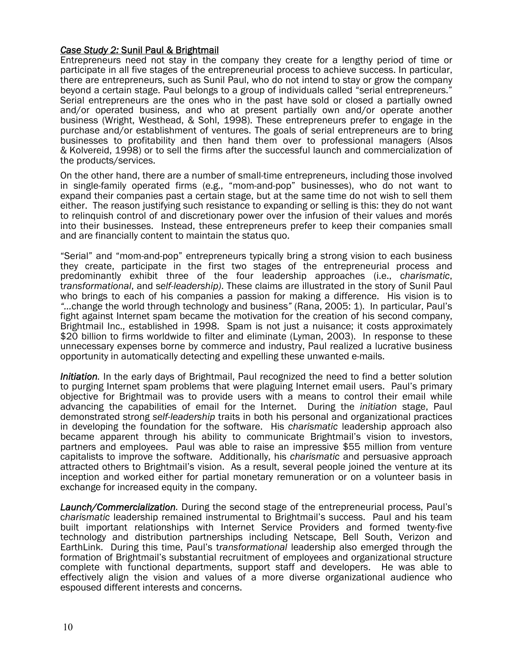#### *Case Study 2:* Sunil Paul & Brightmail

Entrepreneurs need not stay in the company they create for a lengthy period of time or participate in all five stages of the entrepreneurial process to achieve success. In particular, there are entrepreneurs, such as Sunil Paul, who do not intend to stay or grow the company beyond a certain stage. Paul belongs to a group of individuals called "serial entrepreneurs." Serial entrepreneurs are the ones who in the past have sold or closed a partially owned and/or operated business, and who at present partially own and/or operate another business (Wright, Westhead, & Sohl, 1998). These entrepreneurs prefer to engage in the purchase and/or establishment of ventures. The goals of serial entrepreneurs are to bring businesses to profitability and then hand them over to professional managers (Alsos & Kolvereid, 1998) or to sell the firms after the successful launch and commercialization of the products/services.

On the other hand, there are a number of small-time entrepreneurs, including those involved in single-family operated firms (e.g., "mom-and-pop" businesses), who do not want to expand their companies past a certain stage, but at the same time do not wish to sell them either. The reason justifying such resistance to expanding or selling is this: they do not want to relinquish control of and discretionary power over the infusion of their values and morés into their businesses. Instead, these entrepreneurs prefer to keep their companies small and are financially content to maintain the status quo.

"Serial" and "mom-and-pop" entrepreneurs typically bring a strong vision to each business they create, participate in the first two stages of the entrepreneurial process and predominantly exhibit three of the four leadership approaches (i.e., c*harismatic*, t*ransformational*, and s*elf-leadership)*. These claims are illustrated in the story of Sunil Paul who brings to each of his companies a passion for making a difference. His vision is to *"…*change the world through technology and business*"* (Rana, 2005: 1). In particular, Paul's fight against Internet spam became the motivation for the creation of his second company, Brightmail Inc., established in 1998. Spam is not just a nuisance; it costs approximately \$20 billion to firms worldwide to filter and eliminate (Lyman, 2003). In response to these unnecessary expenses borne by commerce and industry, Paul realized a lucrative business opportunity in automatically detecting and expelling these unwanted e-mails.

*Initiation.* In the early days of Brightmail, Paul recognized the need to find a better solution to purging Internet spam problems that were plaguing Internet email users. Paul's primary objective for Brightmail was to provide users with a means to control their email while advancing the capabilities of email for the Internet. During the *initiation* stage, Paul demonstrated strong *self-leadership* traits in both his personal and organizational practices in developing the foundation for the software. His *charismatic* leadership approach also became apparent through his ability to communicate Brightmail's vision to investors, partners and employees. Paul was able to raise an impressive \$55 million from venture capitalists to improve the software. Additionally, his *charismatic* and persuasive approach attracted others to Brightmail's vision. As a result, several people joined the venture at its inception and worked either for partial monetary remuneration or on a volunteer basis in exchange for increased equity in the company.

*Launch/Commercialization.* During the second stage of the entrepreneurial process, Paul's c*harismatic* leadership remained instrumental to Brightmail's success. Paul and his team built important relationships with Internet Service Providers and formed twenty-five technology and distribution partnerships including Netscape, Bell South, Verizon and EarthLink. During this time, Paul's t*ransformational* leadership also emerged through the formation of Brightmail's substantial recruitment of employees and organizational structure complete with functional departments, support staff and developers. He was able to effectively align the vision and values of a more diverse organizational audience who espoused different interests and concerns.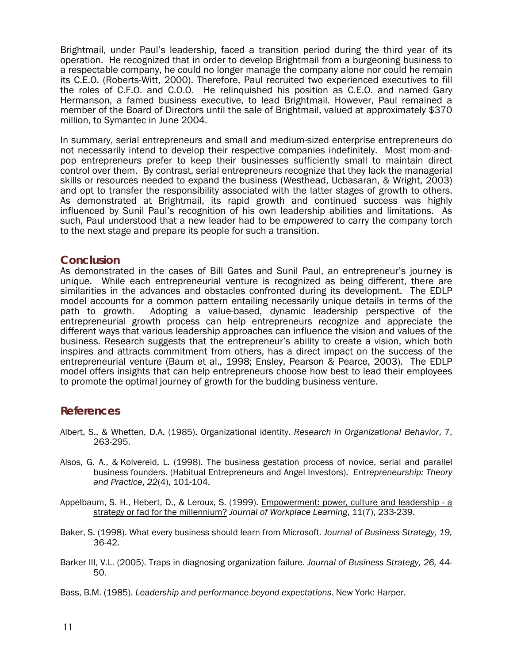Brightmail, under Paul's leadership, faced a transition period during the third year of its operation. He recognized that in order to develop Brightmail from a burgeoning business to a respectable company, he could no longer manage the company alone nor could he remain its C.E.O. (Roberts-Witt, 2000). Therefore, Paul recruited two experienced executives to fill the roles of C.F.O. and C.O.O. He relinquished his position as C.E.O. and named Gary Hermanson, a famed business executive, to lead Brightmail. However, Paul remained a member of the Board of Directors until the sale of Brightmail, valued at approximately \$370 million, to Symantec in June 2004.

In summary, serial entrepreneurs and small and medium-sized enterprise entrepreneurs do not necessarily intend to develop their respective companies indefinitely. Most mom-andpop entrepreneurs prefer to keep their businesses sufficiently small to maintain direct control over them. By contrast, serial entrepreneurs recognize that they lack the managerial skills or resources needed to expand the business (Westhead, Ucbasaran, & Wright, 2003) and opt to transfer the responsibility associated with the latter stages of growth to others. As demonstrated at Brightmail, its rapid growth and continued success was highly influenced by Sunil Paul's recognition of his own leadership abilities and limitations. As such, Paul understood that a new leader had to be *empowered* to carry the company torch to the next stage and prepare its people for such a transition.

**Conclusion**<br>As demonstrated in the cases of Bill Gates and Sunil Paul, an entrepreneur's journey is unique. While each entrepreneurial venture is recognized as being different, there are similarities in the advances and obstacles confronted during its development. The EDLP model accounts for a common pattern entailing necessarily unique details in terms of the path to growth. Adopting a value-based, dynamic leadership perspective of the entrepreneurial growth process can help entrepreneurs recognize and appreciate the different ways that various leadership approaches can influence the vision and values of the business. Research suggests that the entrepreneur's ability to create a vision, which both inspires and attracts commitment from others, has a direct impact on the success of the entrepreneurial venture (Baum et al., 1998; Ensley, Pearson & Pearce, 2003). The EDLP model offers insights that can help entrepreneurs choose how best to lead their employees to promote the optimal journey of growth for the budding business venture.

### **References**

- Albert, S., & Whetten, D.A. (1985). Organizational identity. *Research in Organizational Behavior*, 7, 263-295.
- Alsos, G. A., & Kolvereid, L. (1998). The business gestation process of novice, serial and parallel business founders. (Habitual Entrepreneurs and Angel Investors). *Entrepreneurship: Theory and Practice*, *22*(4), 101-104.
- Appelbaum, S. H., Hebert, D., & Leroux, S. (1999). [Empowerment: power, culture and leadership a](http://proquest.umi.com/pqdweb?index=0&did=115927329&SrchMode=1&sid=1&Fmt=3&VInst=PROD&VType=PQD&RQT=309&VName=PQD&TS=1148420340&clientId=2724)  [strategy or fad for the millennium?](http://proquest.umi.com/pqdweb?index=0&did=115927329&SrchMode=1&sid=1&Fmt=3&VInst=PROD&VType=PQD&RQT=309&VName=PQD&TS=1148420340&clientId=2724) *Journal of Workplace Learning*, 11(7), 233-239.
- Baker, S. (1998). What every business should learn from Microsoft. *Journal of Business Strategy, 19,* 36-42.
- Barker III, V.L. (2005). Traps in diagnosing organization failure. *Journal of Business Strategy, 26,* 44- 50.
- Bass, B.M. (1985). *Leadership and performance beyond expectations*. New York: Harper.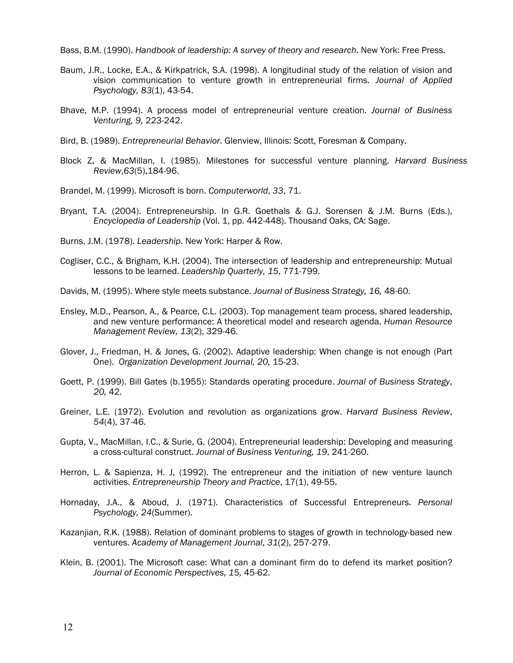Bass, B.M. (1990). *Handbook of leadership: A survey of theory and research*. New York: Free Press.

- Baum, J.R., Locke, E.A., & Kirkpatrick, S.A. (1998). A longitudinal study of the relation of vision and vision communication to venture growth in entrepreneurial firms. *Journal of Applied Psychology, 83*(1), 43-54.
- Bhave, M.P. (1994). A process model of entrepreneurial venture creation. *Journal of Business Venturing, 9,* 223-242.
- Bird, B. (1989). *Entrepreneurial Behavior*. Glenview, Illinois: Scott, Foresman & Company.
- Block Z, & MacMillan, I. (1985). Milestones for successful venture planning. *Harvard Business Review*,*63*(5),184-96.
- Brandel, M. (1999). Microsoft is born. *Computerworld*, *33*, 71.
- Bryant, T.A. (2004). Entrepreneurship. In G.R. Goethals & G.J. Sorensen & J.M. Burns (Eds.), *Encyclopedia of Leadership* (Vol. 1, pp. 442-448). Thousand Oaks, CA: Sage.

Burns, J.M. (1978). *Leadership*. New York: Harper & Row.

Cogliser, C.C., & Brigham, K.H. (2004). The intersection of leadership and entrepreneurship: Mutual lessons to be learned. *Leadership Quarterly, 15*, 771-799.

Davids, M. (1995). Where style meets substance. *Journal of Business Strategy, 16,* 48-60.

- Ensley, M.D., Pearson, A., & Pearce, C.L. (2003). Top management team process, shared leadership, and new venture performance: A theoretical model and research agenda. *Human Resource Management Review, 13*(2), 329-46.
- Glover, J., Friedman, H. & Jones, G. (2002). Adaptive leadership: When change is not enough (Part One). *Organization Development Journal, 20,* 15-23.
- Goett, P. (1999). Bill Gates (b.1955): Standards operating procedure. *Journal of Business Strategy*, *20,* 42.
- Greiner, L.E. (1972). Evolution and revolution as organizations grow. *Harvard Business Review*, *54*(4), 37-46.
- Gupta, V., MacMillan, I.C., & Surie, G. (2004). Entrepreneurial leadership: Developing and measuring a cross-cultural construct. *Journal of Business Venturing, 19*, 241-260.
- Herron, L. & Sapienza, H. J, (1992). The entrepreneur and the initiation of new venture launch activities. *Entrepreneurship Theory and Practice*, 17(1), 49-55.
- Hornaday, J.A., & Aboud, J. (1971). Characteristics of Successful Entrepreneurs. *Personal Psychology, 24*(Summer).
- Kazanjian, R.K. (1988). Relation of dominant problems to stages of growth in technology-based new ventures. *Academy of Management Journal*, *31*(2), 257-279.
- Klein, B. (2001). The Microsoft case: What can a dominant firm do to defend its market position? *Journal of Economic Perspectives, 15,* 45-62.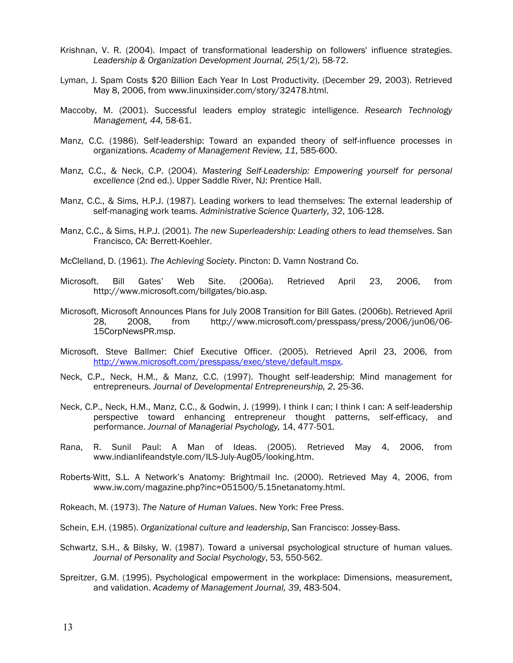- Krishnan, V. R. (2004). Impact of transformational leadership on followers' influence strategies. *Leadership & Organization Development Journal, 25*(1/2), 58-72.
- Lyman, J. Spam Costs \$20 Billion Each Year In Lost Productivity. (December 29, 2003). Retrieved May 8, 2006, from www.linuxinsider.com/story/32478.html.
- Maccoby, M. (2001). Successful leaders employ strategic intelligence. *Research Technology Management, 44,* 58-61.
- Manz, C.C. (1986). Self-leadership: Toward an expanded theory of self-influence processes in organizations. *Academy of Management Review, 11*, 585-600.
- Manz, C.C., & Neck, C.P. (2004). *Mastering Self-Leadership: Empowering yourself for personal excellence* (2nd ed.). Upper Saddle River, NJ: Prentice Hall.
- Manz, C.C., & Sims, H.P.J. (1987). Leading workers to lead themselves: The external leadership of self-managing work teams. *Administrative Science Quarterly, 32*, 106-128.
- Manz, C.C., & Sims, H.P.J. (2001). *The new Superleadership: Leading others to lead themselves*. San Francisco, CA: Berrett-Koehler.
- McClelland, D. (1961). *The Achieving Society*. Pincton: D. Vamn Nostrand Co.
- Microsoft. Bill Gates' Web Site. (2006a). Retrieved April 23, 2006, from http://www.microsoft.com/billgates/bio.asp.
- Microsoft. Microsoft Announces Plans for July 2008 Transition for Bill Gates. (2006b). Retrieved April 28, 2008, from http://www.microsoft.com/presspass/press/2006/jun06/06- 15CorpNewsPR.msp.
- Microsoft. Steve Ballmer: Chief Executive Officer. (2005). Retrieved April 23, 2006, from [http://www.microsoft.com/presspass/exec/steve/default.mspx.](http://www.microsoft.com/presspass/exec/steve/default.mspx)
- Neck, C.P., Neck, H.M., & Manz, C.C. (1997). Thought self-leadership: Mind management for entrepreneurs. *Journal of Developmental Entrepreneurship, 2*, 25-36.
- Neck, C.P., Neck, H.M., Manz, C.C., & Godwin, J. (1999). I think I can; I think I can: A self-leadership perspective toward enhancing entrepreneur thought patterns, self-efficacy, and performance. *Journal of Managerial Psychology,* 14, 477-501*.*
- Rana, R. Sunil Paul: A Man of Ideas. (2005). Retrieved May 4, 2006, from www.indianlifeandstyle.com/ILS-July-Aug05/looking.htm.
- Roberts-Witt, S.L*.* A Network's Anatomy: Brightmail Inc. (2000). Retrieved May 4, 2006, from www.iw.com/magazine.php?inc=051500/5.15netanatomy.html.
- Rokeach, M. (1973). *The Nature of Human Values*. New York: Free Press.
- Schein, E.H. (1985). *Organizational culture and leadership*, San Francisco: Jossey-Bass.
- Schwartz, S.H., & Bilsky, W. (1987). Toward a universal psychological structure of human values. *Journal of Personality and Social Psychology*, 53, 550-562.
- Spreitzer, G.M. (1995). Psychological empowerment in the workplace: Dimensions, measurement, and validation. *Academy of Management Journal, 39*, 483-504.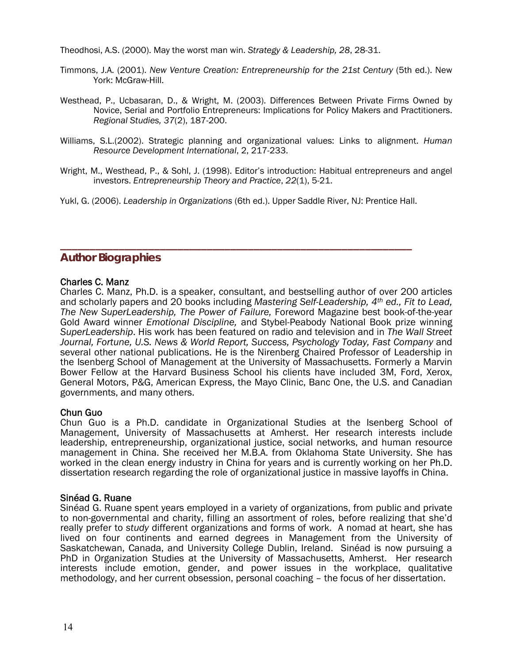Theodhosi, A.S. (2000). May the worst man win. *Strategy & Leadership, 28*, 28-31.

- Timmons, J.A. (2001). *New Venture Creation: Entrepreneurship for the 21st Century* (5th ed.). New York: McGraw-Hill.
- Westhead, P., Ucbasaran, D., & Wright, M. (2003). Differences Between Private Firms Owned by Novice, Serial and Portfolio Entrepreneurs: Implications for Policy Makers and Practitioners. *Regional Studies, 37*(2), 187-200.
- Williams, S.L.(2002). Strategic planning and organizational values: Links to alignment. *Human Resource Development International*, 2, 217-233.
- Wright, M., Westhead, P., & Sohl, J. (1998). Editor's introduction: Habitual entrepreneurs and angel investors. *Entrepreneurship Theory and Practice*, *22*(1), 5-21.
- Yukl, G. (2006). *Leadership in Organizations* (6th ed.). Upper Saddle River, NJ: Prentice Hall.

**\_\_\_\_\_\_\_\_\_\_\_\_\_\_\_\_\_\_\_\_\_\_\_\_\_\_\_\_\_\_\_\_\_\_\_\_\_\_\_\_\_\_\_\_\_\_\_\_\_\_\_\_\_\_\_\_\_\_\_\_** 

#### **Author Biographies**

#### Charles C. Manz

Charles C. Manz, Ph.D. is a speaker, consultant, and bestselling author of over 200 articles and scholarly papers and 20 books including *Mastering Self-Leadership, 4th ed., Fit to Lead, The New SuperLeadership, The Power of Failure,* Foreword Magazine best book-of-the-year Gold Award winner *Emotional Discipline,* and Stybel-Peabody National Book prize winning *SuperLeadership*. His work has been featured on radio and television and in *The Wall Street Journal, Fortune, U.S. News & World Report, Success, Psychology Today, Fast Company* and several other national publications. He is the Nirenberg Chaired Professor of Leadership in the Isenberg School of Management at the University of Massachusetts. Formerly a Marvin Bower Fellow at the Harvard Business School his clients have included 3M, Ford, Xerox, General Motors, P&G, American Express, the Mayo Clinic, Banc One, the U.S. and Canadian governments, and many others.

#### Chun Guo

Chun Guo is a Ph.D. candidate in Organizational Studies at the Isenberg School of Management, University of Massachusetts at Amherst. Her research interests include leadership, entrepreneurship, organizational justice, social networks, and human resource management in China. She received her M.B.A. from Oklahoma State University. She has worked in the clean energy industry in China for years and is currently working on her Ph.D. dissertation research regarding the role of organizational justice in massive layoffs in China.

#### Sinéad G. Ruane

Sinéad G. Ruane spent years employed in a variety of organizations, from public and private to non-governmental and charity, filling an assortment of roles, before realizing that she'd really prefer to *study* different organizations and forms of work. A nomad at heart, she has lived on four continents and earned degrees in Management from the University of Saskatchewan, Canada, and University College Dublin, Ireland. Sinéad is now pursuing a PhD in Organization Studies at the University of Massachusetts, Amherst. Her research interests include emotion, gender, and power issues in the workplace, qualitative methodology, and her current obsession, personal coaching – the focus of her dissertation.